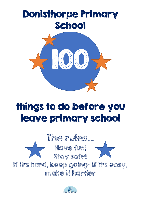

## things to do before you leave primary school



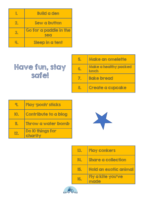|    | <b>Build a den</b>            |
|----|-------------------------------|
| Z, | <b>Sew a button</b>           |
|    | Go for a paddle in the<br>sea |
|    | Sleep in a tent               |

## Have fun, stay safe!

| 5.    | Make an omelette               |
|-------|--------------------------------|
| (G) a | Make a healthy packed<br>lunch |
|       | <b>Bake bread</b>              |
|       | Create a cupcake               |

|     | Play 'pooh' sticks          |
|-----|-----------------------------|
|     | <b>Contribute to a blog</b> |
|     | Throw a water bomb          |
| 12. | Do 10 things for<br>charity |



| I3. | <b>Play conkers</b>          |
|-----|------------------------------|
| IL, | <b>Share a collection</b>    |
| 15. | <b>Hold an exotic animal</b> |
| 16. | Fly a kite you've<br>made    |

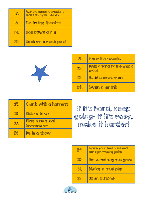|              | Make a paper aeroplane<br>that can fly 10 metres |
|--------------|--------------------------------------------------|
| 18.          | Go to the theatre                                |
| $\mathbb{R}$ | <b>Roll down a hill</b>                          |
| 20           | Explore a rock pool                              |



| 21. | Hear live music                           |
|-----|-------------------------------------------|
| 22. | <b>Build a sand castle with a</b><br>moat |
| 23. | <b>Build a snowman</b>                    |
| 24  | <b>Swim a length</b>                      |

| 25. | <b>Climb with a harness</b>  |
|-----|------------------------------|
| 26. | Ride a bike                  |
| 21. | Play a musical<br>instrument |
| 28. | Be in a show                 |

If it's hard, keep going- if it's easy, make it harder!

| 7           | Make your foot print and<br>hand print using paint |
|-------------|----------------------------------------------------|
| 30          | Eat something you grew                             |
| 31.         | Make a mud pie                                     |
| $\sqrt{47}$ | <b>Skim a stone</b>                                |

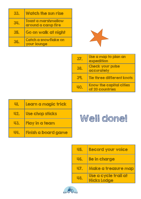| 33.        | Watch the sun rise                         |
|------------|--------------------------------------------|
| <b>SLI</b> | Toast a marshmallow<br>around a camp fire  |
| 35.        | Go on walk at night                        |
| 36.        | Catch a snowflake on<br><b>your lounge</b> |



| 37  | Use a map to plan an<br>expedition                |
|-----|---------------------------------------------------|
| 38. | <b>Check your pulse</b><br>accurately             |
| 39. | <b>Tie three different knots</b>                  |
| 40  | <b>Know the capital cities</b><br>of 20 countries |

| Щ.  | Learn a magic trick        |
|-----|----------------------------|
| 42. | Use chop sticks            |
| 43. | Play in a team             |
| ul, | <b>Finish a board game</b> |



| U5.        | Record your voice                          |
|------------|--------------------------------------------|
| 46.        | <b>Be in charge</b>                        |
| <b>U7.</b> | Make a treasure map                        |
| 48.        | Use a cycle trail at<br><b>Hicks Lodge</b> |

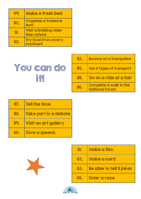| U Q | Make a fresh bed                             |
|-----|----------------------------------------------|
| 50. | Organise a treasure<br>hunt                  |
| 51. | <b>Visit a building older</b><br>than school |
| 52. | <b>Try food from every</b><br>continent      |



| 53. | <b>Bounce on a trampoline</b>                    |
|-----|--------------------------------------------------|
| 54. | Use 8 types of transport                         |
| 55. | Go on a ride at a fair                           |
| 56. | Complete a walk in the<br><b>National Forest</b> |

| 57. | <b>Tell the time</b>        |
|-----|-----------------------------|
| 58. | Take part in a debate       |
| 59. | <b>Visit an art gallery</b> |
| 60. | Give a speech               |

X

| 61. | Make a film                    |
|-----|--------------------------------|
| 62. | Make a card                    |
| 63. | <b>Be able to tell 5 jokes</b> |
| 64. | Enter a race                   |

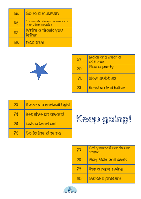| 65. | Go to a museum                                         |
|-----|--------------------------------------------------------|
| 66. | <b>Communicate with somebody</b><br>in another country |
| 67. | Write a thank you<br><b>letter</b>                     |
| 68  | Pick fruit                                             |



| 69. | Make and wear a<br>costume |
|-----|----------------------------|
| 70. | Plan a party               |
|     | <b>Blow bubbles</b>        |
|     | Send an invitation         |

| 73. | <b>Have a snowball fight</b> |
|-----|------------------------------|
| 74. | Receive an award             |
| 75. | Lick a bowl out              |
| 76. | Go to the cinema             |



| BZ    | Get yourself ready for<br>school |
|-------|----------------------------------|
| 78.   | Play hide and seek               |
|       | Use a rope swing                 |
| zae d | Make a present                   |

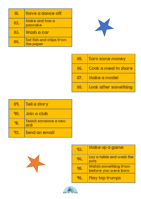| 81.       | Have a dance off                            |
|-----------|---------------------------------------------|
| 82.       | Make and toss a<br>pancake                  |
| 83.       | Wash a car                                  |
| <b>24</b> | <b>Eat fish and chips from</b><br>the paper |



| 85. | <b>Earn some money</b> |
|-----|------------------------|
| 86. | Cook a meal to share   |
| 87. | Make a model           |
| 88. | Look after something   |

| 89. | <b>Tell a story</b>          |
|-----|------------------------------|
| 90  | <b>Join a club</b>           |
|     | Teach someone a new<br>skill |
|     | Send an email                |

X

| 93.         | Make up a game                                      |
|-------------|-----------------------------------------------------|
| $Q_{\rm L}$ | Lay a table and wash the<br>pots                    |
| 95.         | <b>Watch something from</b><br>before you were born |
| 96.         | Play top trumps                                     |

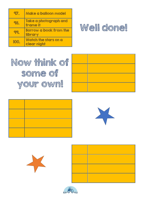| 97                          | Make a balloon model                       |
|-----------------------------|--------------------------------------------|
| ${}^{\circ}$ 8.             | Take a photograph and<br>frame it          |
| $\mathcal{Q}$ $\mathcal{Q}$ | Borrow a book from the<br><b>library</b>   |
|                             | <b>Watch the stars on a</b><br>clear night |